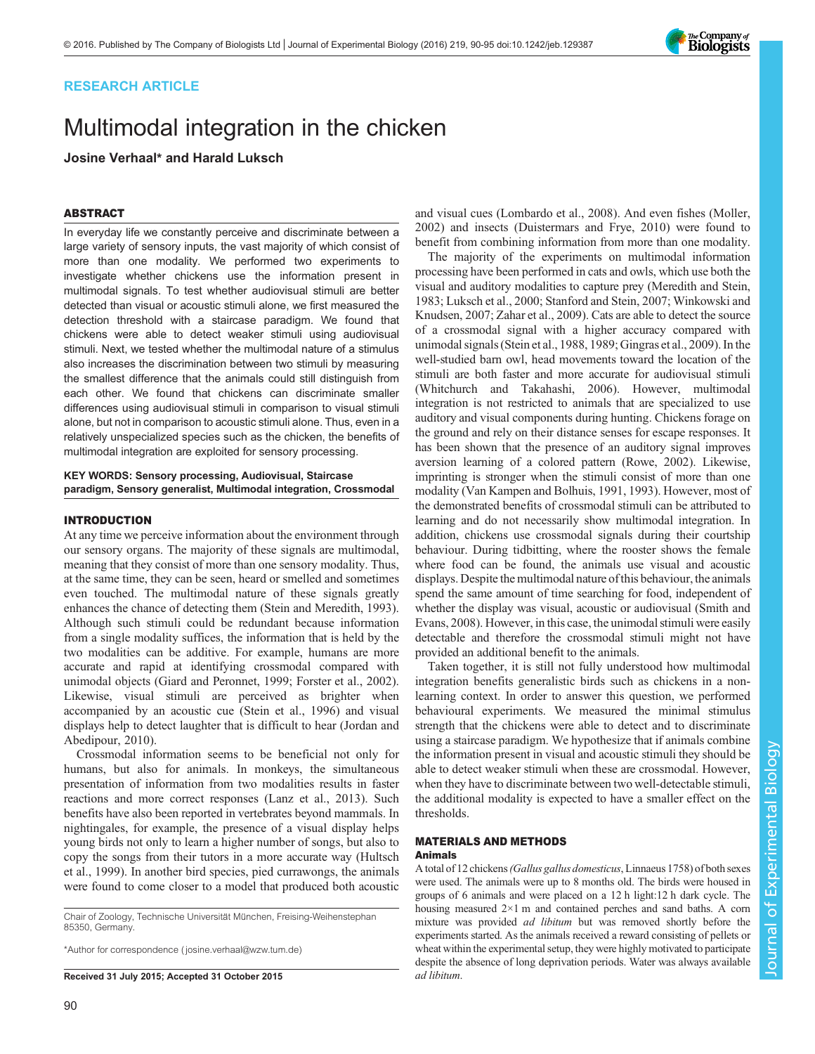## RESEARCH ARTICLE

# Multimodal integration in the chicken

Josine Verhaal\* and Harald Luksch

## ABSTRACT

In everyday life we constantly perceive and discriminate between a large variety of sensory inputs, the vast majority of which consist of more than one modality. We performed two experiments to investigate whether chickens use the information present in multimodal signals. To test whether audiovisual stimuli are better detected than visual or acoustic stimuli alone, we first measured the detection threshold with a staircase paradigm. We found that chickens were able to detect weaker stimuli using audiovisual stimuli. Next, we tested whether the multimodal nature of a stimulus also increases the discrimination between two stimuli by measuring the smallest difference that the animals could still distinguish from each other. We found that chickens can discriminate smaller differences using audiovisual stimuli in comparison to visual stimuli alone, but not in comparison to acoustic stimuli alone. Thus, even in a relatively unspecialized species such as the chicken, the benefits of multimodal integration are exploited for sensory processing.

## KEY WORDS: Sensory processing, Audiovisual, Staircase paradigm, Sensory generalist, Multimodal integration, Crossmodal

## INTRODUCTION

At any time we perceive information about the environment through our sensory organs. The majority of these signals are multimodal, meaning that they consist of more than one sensory modality. Thus, at the same time, they can be seen, heard or smelled and sometimes even touched. The multimodal nature of these signals greatly enhances the chance of detecting them ([Stein and Meredith, 1993\)](#page-4-0). Although such stimuli could be redundant because information from a single modality suffices, the information that is held by the two modalities can be additive. For example, humans are more accurate and rapid at identifying crossmodal compared with unimodal objects [\(Giard and Peronnet, 1999](#page-4-0); [Forster et al., 2002\)](#page-4-0). Likewise, visual stimuli are perceived as brighter when accompanied by an acoustic cue [\(Stein et al., 1996](#page-5-0)) and visual displays help to detect laughter that is difficult to hear ([Jordan and](#page-4-0) [Abedipour, 2010](#page-4-0)).

Crossmodal information seems to be beneficial not only for humans, but also for animals. In monkeys, the simultaneous presentation of information from two modalities results in faster reactions and more correct responses ([Lanz et al., 2013](#page-4-0)). Such benefits have also been reported in vertebrates beyond mammals. In nightingales, for example, the presence of a visual display helps young birds not only to learn a higher number of songs, but also to copy the songs from their tutors in a more accurate way ([Hultsch](#page-4-0) [et al., 1999](#page-4-0)). In another bird species, pied currawongs, the animals were found to come closer to a model that produced both acoustic

Chair of Zoology, Technische Universität München, Freising-Weihenstephan 85350, Germany.

\*Author for correspondence [\( josine.verhaal@wzw.tum.de\)](mailto:josine.verhaal@wzw.tum.de)

Received 31 July 2015; Accepted 31 October 2015 **and libitum.** 

and visual cues [\(Lombardo et al., 2008\)](#page-4-0). And even fishes [\(Moller,](#page-4-0) [2002\)](#page-4-0) and insects ([Duistermars and Frye, 2010\)](#page-4-0) were found to benefit from combining information from more than one modality.

The majority of the experiments on multimodal information processing have been performed in cats and owls, which use both the visual and auditory modalities to capture prey ([Meredith and Stein,](#page-4-0) [1983; Luksch et al., 2000](#page-4-0); [Stanford and Stein, 2007](#page-4-0); [Winkowski and](#page-5-0) [Knudsen, 2007; Zahar et al., 2009](#page-5-0)). Cats are able to detect the source of a crossmodal signal with a higher accuracy compared with unimodal signals [\(Stein et al., 1988](#page-4-0), [1989](#page-5-0); [Gingras et al., 2009\)](#page-4-0). In the well-studied barn owl, head movements toward the location of the stimuli are both faster and more accurate for audiovisual stimuli [\(Whitchurch and Takahashi, 2006](#page-5-0)). However, multimodal integration is not restricted to animals that are specialized to use auditory and visual components during hunting. Chickens forage on the ground and rely on their distance senses for escape responses. It has been shown that the presence of an auditory signal improves aversion learning of a colored pattern [\(Rowe, 2002\)](#page-4-0). Likewise, imprinting is stronger when the stimuli consist of more than one modality [\(Van Kampen and Bolhuis, 1991](#page-5-0), [1993](#page-5-0)). However, most of the demonstrated benefits of crossmodal stimuli can be attributed to learning and do not necessarily show multimodal integration. In addition, chickens use crossmodal signals during their courtship behaviour. During tidbitting, where the rooster shows the female where food can be found, the animals use visual and acoustic displays. Despite the multimodal nature of this behaviour, the animals spend the same amount of time searching for food, independent of whether the display was visual, acoustic or audiovisual [\(Smith and](#page-4-0) [Evans, 2008\)](#page-4-0). However, in this case, the unimodal stimuli were easily detectable and therefore the crossmodal stimuli might not have provided an additional benefit to the animals.

Taken together, it is still not fully understood how multimodal integration benefits generalistic birds such as chickens in a nonlearning context. In order to answer this question, we performed behavioural experiments. We measured the minimal stimulus strength that the chickens were able to detect and to discriminate using a staircase paradigm. We hypothesize that if animals combine the information present in visual and acoustic stimuli they should be able to detect weaker stimuli when these are crossmodal. However, when they have to discriminate between two well-detectable stimuli, the additional modality is expected to have a smaller effect on the thresholds.

## MATERIALS AND METHODS

## Animals

A total of 12 chickens(Gallus gallus domesticus, Linnaeus 1758) of both sexes were used. The animals were up to 8 months old. The birds were housed in groups of 6 animals and were placed on a 12 h light:12 h dark cycle. The housing measured 2×1 m and contained perches and sand baths. A corn mixture was provided ad libitum but was removed shortly before the experiments started. As the animals received a reward consisting of pellets or wheat within the experimental setup, they were highly motivated to participate despite the absence of long deprivation periods. Water was always available

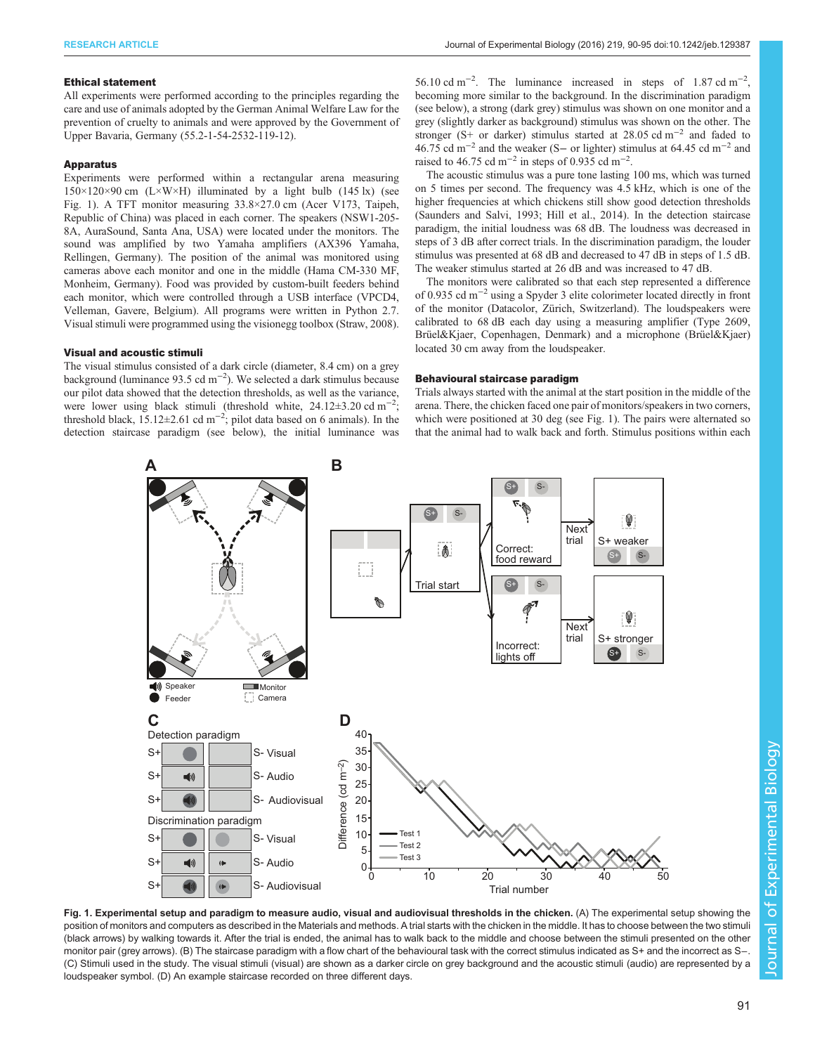#### <span id="page-1-0"></span>Ethical statement

All experiments were performed according to the principles regarding the care and use of animals adopted by the German Animal Welfare Law for the prevention of cruelty to animals and were approved by the Government of Upper Bavaria, Germany (55.2-1-54-2532-119-12).

## Apparatus

Experiments were performed within a rectangular arena measuring 150×120×90 cm (L×W×H) illuminated by a light bulb (145 lx) (see Fig. 1). A TFT monitor measuring 33.8×27.0 cm (Acer V173, Taipeh, Republic of China) was placed in each corner. The speakers (NSW1-205- 8A, AuraSound, Santa Ana, USA) were located under the monitors. The sound was amplified by two Yamaha amplifiers (AX396 Yamaha, Rellingen, Germany). The position of the animal was monitored using cameras above each monitor and one in the middle (Hama CM-330 MF, Monheim, Germany). Food was provided by custom-built feeders behind each monitor, which were controlled through a USB interface (VPCD4, Velleman, Gavere, Belgium). All programs were written in Python 2.7. Visual stimuli were programmed using the visionegg toolbox [\(Straw, 2008](#page-5-0)).

## Visual and acoustic stimuli

The visual stimulus consisted of a dark circle (diameter, 8.4 cm) on a grey background (luminance  $93.5$  cd m<sup>-2</sup>). We selected a dark stimulus because our pilot data showed that the detection thresholds, as well as the variance, were lower using black stimuli (threshold white, 24.12±3.20 cd m<sup>-2</sup>; threshold black,  $15.12 \pm 2.61$  cd m<sup>-2</sup>; pilot data based on 6 animals). In the detection staircase paradigm (see below), the initial luminance was

56.10 cd m<sup>-2</sup>. The luminance increased in steps of 1.87 cd m<sup>-2</sup>, becoming more similar to the background. In the discrimination paradigm (see below), a strong (dark grey) stimulus was shown on one monitor and a grey (slightly darker as background) stimulus was shown on the other. The stronger (S+ or darker) stimulus started at 28.05 cd m<sup>-2</sup> and faded to 46.75 cd m<sup>-2</sup> and the weaker (S− or lighter) stimulus at 64.45 cd m<sup>-2</sup> and raised to 46.75 cd m<sup>-2</sup> in steps of 0.935 cd m<sup>-2</sup>.

The acoustic stimulus was a pure tone lasting 100 ms, which was turned on 5 times per second. The frequency was 4.5 kHz, which is one of the higher frequencies at which chickens still show good detection thresholds ([Saunders and Salvi, 1993](#page-4-0); [Hill et al., 2014](#page-4-0)). In the detection staircase paradigm, the initial loudness was 68 dB. The loudness was decreased in steps of 3 dB after correct trials. In the discrimination paradigm, the louder stimulus was presented at 68 dB and decreased to 47 dB in steps of 1.5 dB. The weaker stimulus started at 26 dB and was increased to 47 dB.

The monitors were calibrated so that each step represented a difference of 0.935 cd m−<sup>2</sup> using a Spyder 3 elite colorimeter located directly in front of the monitor (Datacolor, Zürich, Switzerland). The loudspeakers were calibrated to 68 dB each day using a measuring amplifier (Type 2609, Brüel&Kjaer, Copenhagen, Denmark) and a microphone (Brüel&Kjaer) located 30 cm away from the loudspeaker.

## Behavioural staircase paradigm

Trials always started with the animal at the start position in the middle of the arena. There, the chicken faced one pair of monitors/speakers in two corners, which were positioned at 30 deg (see Fig. 1). The pairs were alternated so that the animal had to walk back and forth. Stimulus positions within each



Fig. 1. Experimental setup and paradigm to measure audio, visual and audiovisual thresholds in the chicken. (A) The experimental setup showing the position of monitors and computers as described in the Materials and methods. A trial starts with the chicken in the middle. It has to choose between the two stimuli (black arrows) by walking towards it. After the trial is ended, the animal has to walk back to the middle and choose between the stimuli presented on the other monitor pair (grey arrows). (B) The staircase paradigm with a flow chart of the behavioural task with the correct stimulus indicated as S+ and the incorrect as S−. (C) Stimuli used in the study. The visual stimuli (visual) are shown as a darker circle on grey background and the acoustic stimuli (audio) are represented by a loudspeaker symbol. (D) An example staircase recorded on three different days.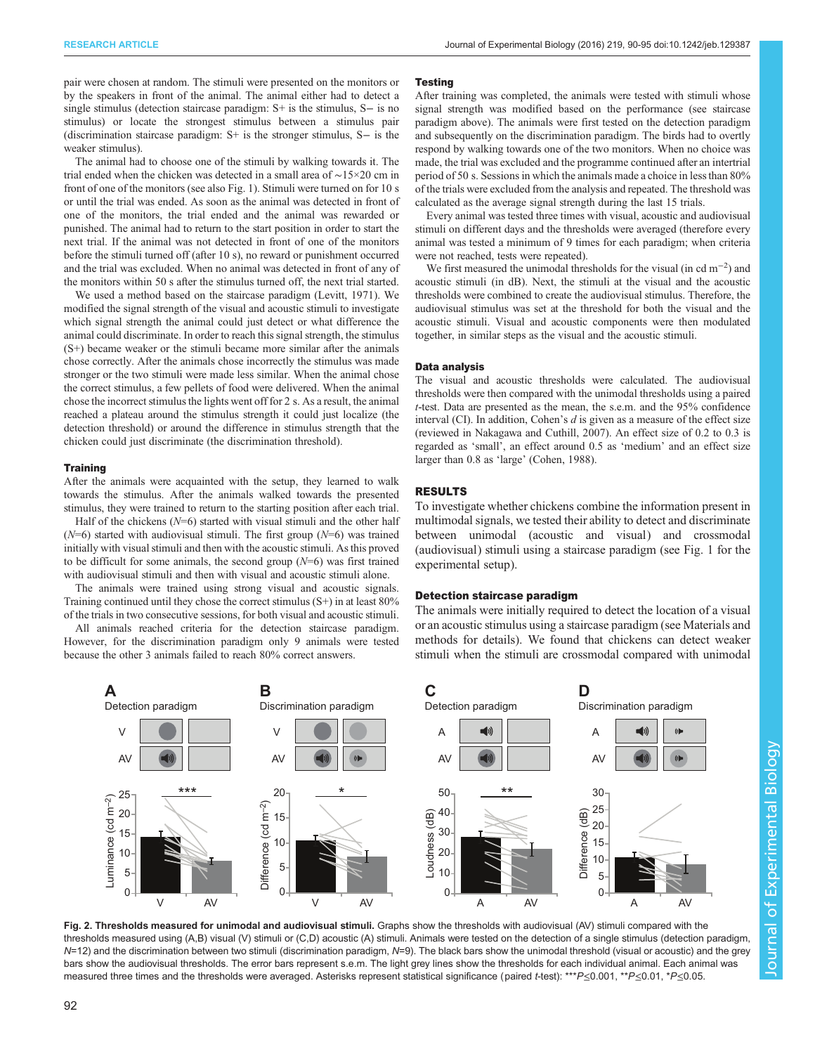<span id="page-2-0"></span>pair were chosen at random. The stimuli were presented on the monitors or by the speakers in front of the animal. The animal either had to detect a single stimulus (detection staircase paradigm: S+ is the stimulus, S− is no stimulus) or locate the strongest stimulus between a stimulus pair (discrimination staircase paradigm: S+ is the stronger stimulus, S− is the weaker stimulus).

The animal had to choose one of the stimuli by walking towards it. The trial ended when the chicken was detected in a small area of ∼15×20 cm in front of one of the monitors (see also [Fig. 1\)](#page-1-0). Stimuli were turned on for 10 s or until the trial was ended. As soon as the animal was detected in front of one of the monitors, the trial ended and the animal was rewarded or punished. The animal had to return to the start position in order to start the next trial. If the animal was not detected in front of one of the monitors before the stimuli turned off (after 10 s), no reward or punishment occurred and the trial was excluded. When no animal was detected in front of any of the monitors within 50 s after the stimulus turned off, the next trial started.

We used a method based on the staircase paradigm ([Levitt, 1971\)](#page-4-0). We modified the signal strength of the visual and acoustic stimuli to investigate which signal strength the animal could just detect or what difference the animal could discriminate. In order to reach this signal strength, the stimulus (S+) became weaker or the stimuli became more similar after the animals chose correctly. After the animals chose incorrectly the stimulus was made stronger or the two stimuli were made less similar. When the animal chose the correct stimulus, a few pellets of food were delivered. When the animal chose the incorrect stimulus the lights went off for 2 s. As a result, the animal reached a plateau around the stimulus strength it could just localize (the detection threshold) or around the difference in stimulus strength that the chicken could just discriminate (the discrimination threshold).

## **Training**

After the animals were acquainted with the setup, they learned to walk towards the stimulus. After the animals walked towards the presented stimulus, they were trained to return to the starting position after each trial.

Half of the chickens  $(N=6)$  started with visual stimuli and the other half ( $N=6$ ) started with audiovisual stimuli. The first group ( $N=6$ ) was trained initially with visual stimuli and then with the acoustic stimuli. As this proved to be difficult for some animals, the second group  $(N=6)$  was first trained with audiovisual stimuli and then with visual and acoustic stimuli alone.

The animals were trained using strong visual and acoustic signals. Training continued until they chose the correct stimulus (S+) in at least 80% of the trials in two consecutive sessions, for both visual and acoustic stimuli.

All animals reached criteria for the detection staircase paradigm. However, for the discrimination paradigm only 9 animals were tested because the other 3 animals failed to reach 80% correct answers.

#### **Testing**

After training was completed, the animals were tested with stimuli whose signal strength was modified based on the performance (see staircase paradigm above). The animals were first tested on the detection paradigm and subsequently on the discrimination paradigm. The birds had to overtly respond by walking towards one of the two monitors. When no choice was made, the trial was excluded and the programme continued after an intertrial period of 50 s. Sessions in which the animals made a choice in less than 80% of the trials were excluded from the analysis and repeated. The threshold was calculated as the average signal strength during the last 15 trials.

Every animal was tested three times with visual, acoustic and audiovisual stimuli on different days and the thresholds were averaged (therefore every animal was tested a minimum of 9 times for each paradigm; when criteria were not reached, tests were repeated).

We first measured the unimodal thresholds for the visual (in cd  $m^{-2}$ ) and acoustic stimuli (in dB). Next, the stimuli at the visual and the acoustic thresholds were combined to create the audiovisual stimulus. Therefore, the audiovisual stimulus was set at the threshold for both the visual and the acoustic stimuli. Visual and acoustic components were then modulated together, in similar steps as the visual and the acoustic stimuli.

## Data analysis

The visual and acoustic thresholds were calculated. The audiovisual thresholds were then compared with the unimodal thresholds using a paired t-test. Data are presented as the mean, the s.e.m. and the 95% confidence interval (CI). In addition, Cohen's  $d$  is given as a measure of the effect size (reviewed in [Nakagawa and Cuthill, 2007\)](#page-4-0). An effect size of 0.2 to 0.3 is regarded as 'small', an effect around 0.5 as 'medium' and an effect size larger than 0.8 as 'large' [\(Cohen, 1988\)](#page-4-0).

## RESULTS

To investigate whether chickens combine the information present in multimodal signals, we tested their ability to detect and discriminate between unimodal (acoustic and visual) and crossmodal (audiovisual) stimuli using a staircase paradigm (see [Fig. 1](#page-1-0) for the experimental setup).

#### Detection staircase paradigm

The animals were initially required to detect the location of a visual or an acoustic stimulus using a staircase paradigm (see Materials and methods for details). We found that chickens can detect weaker stimuli when the stimuli are crossmodal compared with unimodal



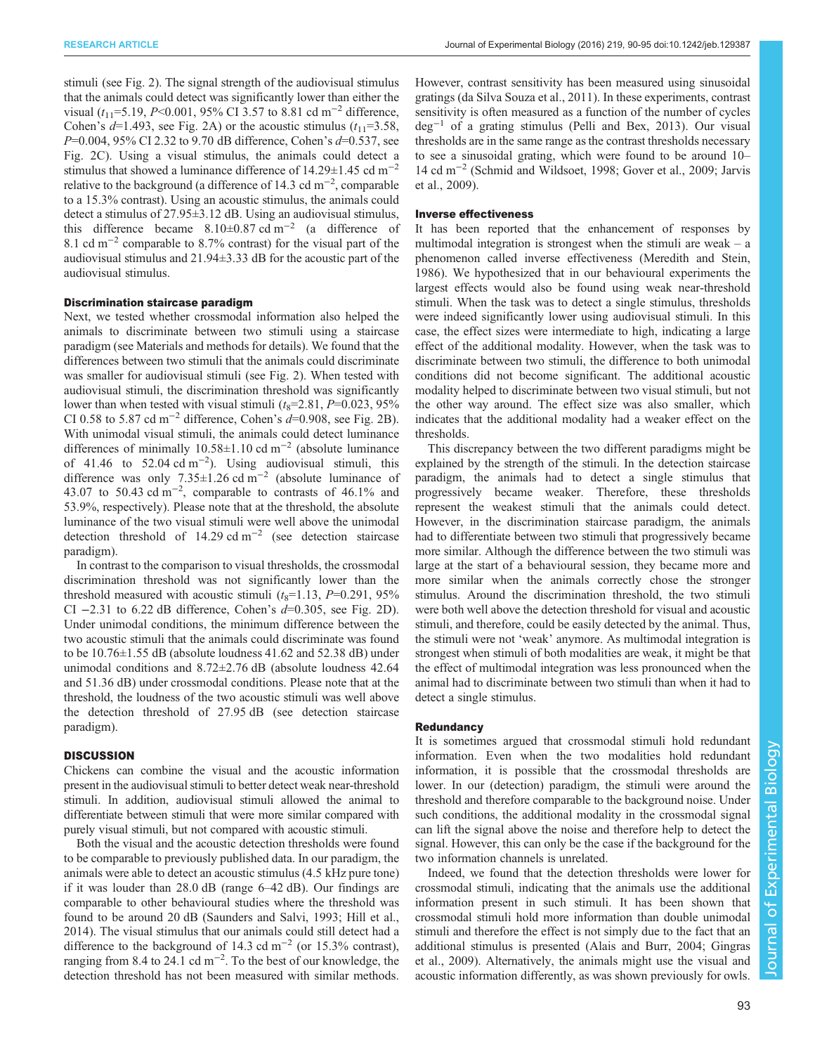stimuli (see [Fig. 2](#page-2-0)). The signal strength of the audiovisual stimulus that the animals could detect was significantly lower than either the visual ( $t_{11}$ =5.19, P<0.001, 95% CI 3.57 to 8.81 cd m<sup>-2</sup> difference, Cohen's  $d=1.493$ , see [Fig. 2A](#page-2-0)) or the acoustic stimulus  $(t_{11}=3.58,$  $P=0.004$ , 95% CI 2.32 to 9.70 dB difference, Cohen's  $d=0.537$ , see [Fig. 2C](#page-2-0)). Using a visual stimulus, the animals could detect a stimulus that showed a luminance difference of  $14.29 \pm 1.45$  cd m<sup>-2</sup> relative to the background (a difference of 14.3 cd m<sup>-2</sup>, comparable to a 15.3% contrast). Using an acoustic stimulus, the animals could detect a stimulus of 27.95±3.12 dB. Using an audiovisual stimulus, this difference became 8.10±0.87 cd m−<sup>2</sup> (a difference of 8.1 cd m−<sup>2</sup> comparable to 8.7% contrast) for the visual part of the audiovisual stimulus and 21.94±3.33 dB for the acoustic part of the audiovisual stimulus.

## Discrimination staircase paradigm

Next, we tested whether crossmodal information also helped the animals to discriminate between two stimuli using a staircase paradigm (see Materials and methods for details). We found that the differences between two stimuli that the animals could discriminate was smaller for audiovisual stimuli (see [Fig. 2](#page-2-0)). When tested with audiovisual stimuli, the discrimination threshold was significantly lower than when tested with visual stimuli  $(t_8=2.81, P=0.023, 95\%$ CI 0.58 to 5.87 cd m<sup>-2</sup> difference, Cohen's  $d=0.908$ , see [Fig. 2](#page-2-0)B). With unimodal visual stimuli, the animals could detect luminance differences of minimally 10.58±1.10 cd m−<sup>2</sup> (absolute luminance of 41.46 to  $52.04 \text{ cd m}^{-2}$ ). Using audiovisual stimuli, this difference was only 7.35±1.26 cd m−<sup>2</sup> (absolute luminance of 43.07 to 50.43 cd m<sup>-2</sup>, comparable to contrasts of 46.1% and 53.9%, respectively). Please note that at the threshold, the absolute luminance of the two visual stimuli were well above the unimodal detection threshold of 14.29 cd m−<sup>2</sup> (see detection staircase paradigm).

In contrast to the comparison to visual thresholds, the crossmodal discrimination threshold was not significantly lower than the threshold measured with acoustic stimuli  $(t_8=1.13, P=0.291, 95\%$ CI  $-2.31$  to 6.22 dB difference, Cohen's  $d=0.305$ , see [Fig. 2D](#page-2-0)). Under unimodal conditions, the minimum difference between the two acoustic stimuli that the animals could discriminate was found to be 10.76±1.55 dB (absolute loudness 41.62 and 52.38 dB) under unimodal conditions and 8.72±2.76 dB (absolute loudness 42.64 and 51.36 dB) under crossmodal conditions. Please note that at the threshold, the loudness of the two acoustic stimuli was well above the detection threshold of 27.95 dB (see detection staircase paradigm).

## **DISCUSSION**

Chickens can combine the visual and the acoustic information present in the audiovisual stimuli to better detect weak near-threshold stimuli. In addition, audiovisual stimuli allowed the animal to differentiate between stimuli that were more similar compared with purely visual stimuli, but not compared with acoustic stimuli.

Both the visual and the acoustic detection thresholds were found to be comparable to previously published data. In our paradigm, the animals were able to detect an acoustic stimulus (4.5 kHz pure tone) if it was louder than 28.0 dB (range 6–42 dB). Our findings are comparable to other behavioural studies where the threshold was found to be around 20 dB [\(Saunders and Salvi, 1993](#page-4-0); [Hill et al.,](#page-4-0) [2014](#page-4-0)). The visual stimulus that our animals could still detect had a difference to the background of 14.3 cd m<sup>-2</sup> (or 15.3% contrast), ranging from 8.4 to 24.1 cd m<sup>-2</sup>. To the best of our knowledge, the detection threshold has not been measured with similar methods.

However, contrast sensitivity has been measured using sinusoidal gratings [\(da Silva Souza et al., 2011\)](#page-4-0). In these experiments, contrast sensitivity is often measured as a function of the number of cycles deg−<sup>1</sup> of a grating stimulus ([Pelli and Bex, 2013\)](#page-4-0). Our visual thresholds are in the same range as the contrast thresholds necessary to see a sinusoidal grating, which were found to be around 10– 14 cd m−<sup>2</sup> ([Schmid and Wildsoet, 1998; Gover et al., 2009; Jarvis](#page-4-0) [et al., 2009\)](#page-4-0).

#### Inverse effectiveness

It has been reported that the enhancement of responses by multimodal integration is strongest when the stimuli are weak  $-$  a phenomenon called inverse effectiveness ([Meredith and Stein,](#page-4-0) [1986\)](#page-4-0). We hypothesized that in our behavioural experiments the largest effects would also be found using weak near-threshold stimuli. When the task was to detect a single stimulus, thresholds were indeed significantly lower using audiovisual stimuli. In this case, the effect sizes were intermediate to high, indicating a large effect of the additional modality. However, when the task was to discriminate between two stimuli, the difference to both unimodal conditions did not become significant. The additional acoustic modality helped to discriminate between two visual stimuli, but not the other way around. The effect size was also smaller, which indicates that the additional modality had a weaker effect on the thresholds.

This discrepancy between the two different paradigms might be explained by the strength of the stimuli. In the detection staircase paradigm, the animals had to detect a single stimulus that progressively became weaker. Therefore, these thresholds represent the weakest stimuli that the animals could detect. However, in the discrimination staircase paradigm, the animals had to differentiate between two stimuli that progressively became more similar. Although the difference between the two stimuli was large at the start of a behavioural session, they became more and more similar when the animals correctly chose the stronger stimulus. Around the discrimination threshold, the two stimuli were both well above the detection threshold for visual and acoustic stimuli, and therefore, could be easily detected by the animal. Thus, the stimuli were not 'weak' anymore. As multimodal integration is strongest when stimuli of both modalities are weak, it might be that the effect of multimodal integration was less pronounced when the animal had to discriminate between two stimuli than when it had to detect a single stimulus.

## **Redundancy**

It is sometimes argued that crossmodal stimuli hold redundant information. Even when the two modalities hold redundant information, it is possible that the crossmodal thresholds are lower. In our (detection) paradigm, the stimuli were around the threshold and therefore comparable to the background noise. Under such conditions, the additional modality in the crossmodal signal can lift the signal above the noise and therefore help to detect the signal. However, this can only be the case if the background for the two information channels is unrelated.

Indeed, we found that the detection thresholds were lower for crossmodal stimuli, indicating that the animals use the additional information present in such stimuli. It has been shown that crossmodal stimuli hold more information than double unimodal stimuli and therefore the effect is not simply due to the fact that an additional stimulus is presented [\(Alais and Burr, 2004; Gingras](#page-4-0) [et al., 2009](#page-4-0)). Alternatively, the animals might use the visual and acoustic information differently, as was shown previously for owls.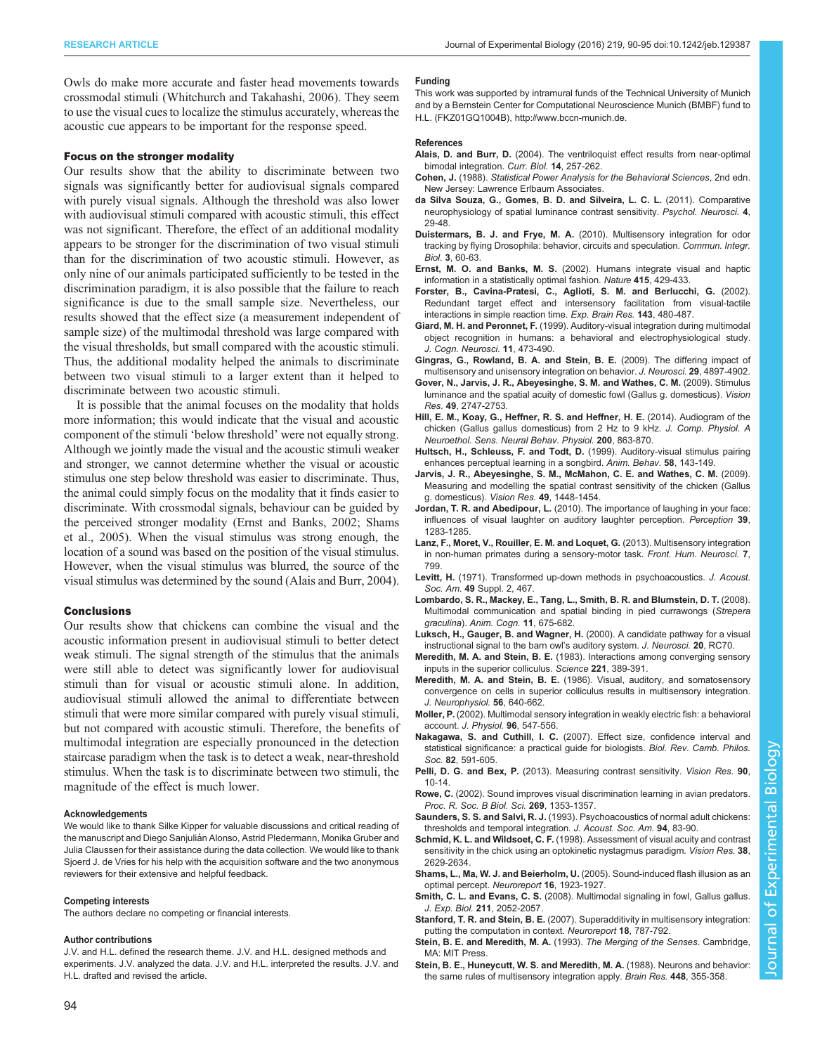<span id="page-4-0"></span>Owls do make more accurate and faster head movements towards crossmodal stimuli [\(Whitchurch and Takahashi, 2006\)](#page-5-0). They seem to use the visual cues to localize the stimulus accurately, whereas the acoustic cue appears to be important for the response speed.

#### Focus on the stronger modality

Our results show that the ability to discriminate between two signals was significantly better for audiovisual signals compared with purely visual signals. Although the threshold was also lower with audiovisual stimuli compared with acoustic stimuli, this effect was not significant. Therefore, the effect of an additional modality appears to be stronger for the discrimination of two visual stimuli than for the discrimination of two acoustic stimuli. However, as only nine of our animals participated sufficiently to be tested in the discrimination paradigm, it is also possible that the failure to reach significance is due to the small sample size. Nevertheless, our results showed that the effect size (a measurement independent of sample size) of the multimodal threshold was large compared with the visual thresholds, but small compared with the acoustic stimuli. Thus, the additional modality helped the animals to discriminate between two visual stimuli to a larger extent than it helped to discriminate between two acoustic stimuli.

It is possible that the animal focuses on the modality that holds more information; this would indicate that the visual and acoustic component of the stimuli 'below threshold' were not equally strong. Although we jointly made the visual and the acoustic stimuli weaker and stronger, we cannot determine whether the visual or acoustic stimulus one step below threshold was easier to discriminate. Thus, the animal could simply focus on the modality that it finds easier to discriminate. With crossmodal signals, behaviour can be guided by the perceived stronger modality (Ernst and Banks, 2002; Shams et al., 2005). When the visual stimulus was strong enough, the location of a sound was based on the position of the visual stimulus. However, when the visual stimulus was blurred, the source of the visual stimulus was determined by the sound (Alais and Burr, 2004).

#### **Conclusions**

Our results show that chickens can combine the visual and the acoustic information present in audiovisual stimuli to better detect weak stimuli. The signal strength of the stimulus that the animals were still able to detect was significantly lower for audiovisual stimuli than for visual or acoustic stimuli alone. In addition, audiovisual stimuli allowed the animal to differentiate between stimuli that were more similar compared with purely visual stimuli, but not compared with acoustic stimuli. Therefore, the benefits of multimodal integration are especially pronounced in the detection staircase paradigm when the task is to detect a weak, near-threshold stimulus. When the task is to discriminate between two stimuli, the magnitude of the effect is much lower.

#### Acknowledgements

We would like to thank Silke Kipper for valuable discussions and critical reading of the manuscript and Diego Sanjulián Alonso, Astrid Pledermann, Monika Gruber and Julia Claussen for their assistance during the data collection. We would like to thank Sjoerd J. de Vries for his help with the acquisition software and the two anonymous reviewers for their extensive and helpful feedback.

#### Competing interests

The authors declare no competing or financial interests.

#### Author contributions

J.V. and H.L. defined the research theme. J.V. and H.L. designed methods and experiments. J.V. analyzed the data. J.V. and H.L. interpreted the results. J.V. and H.L. drafted and revised the article.

#### Funding

This work was supported by intramural funds of the Technical University of Munich and by a Bernstein Center for Computational Neuroscience Munich (BMBF) fund to H.L. (FKZ01GQ1004B),<http://www.bccn-munich.de>.

#### References

- Alais, D. and Burr, D. [\(2004\). The ventriloquist effect results from near-optimal](http://dx.doi.org/10.1016/j.cub.2004.01.029) [bimodal integration.](http://dx.doi.org/10.1016/j.cub.2004.01.029) Curr. Biol. <sup>14</sup>, 257-262.
- Cohen, J. (1988). Statistical Power Analysis for the Behavioral Sciences, 2nd edn. New Jersey: Lawrence Erlbaum Associates.
- [da Silva Souza, G., Gomes, B. D. and Silveira, L. C. L.](http://dx.doi.org/10.3922/j.psns.2011.1.005) (2011). Comparative [neurophysiology of spatial luminance contrast sensitivity.](http://dx.doi.org/10.3922/j.psns.2011.1.005) Psychol. Neurosci. <sup>4</sup>, [29-48.](http://dx.doi.org/10.3922/j.psns.2011.1.005)
- Duistermars, B. J. and Frye, M. A. [\(2010\). Multisensory integration for odor](http://dx.doi.org/10.4161/cib.3.1.10076) [tracking by flying Drosophila: behavior, circuits and speculation.](http://dx.doi.org/10.4161/cib.3.1.10076) Commun. Integr. Biol. <sup>3</sup>[, 60-63.](http://dx.doi.org/10.4161/cib.3.1.10076)
- Ernst, M. O. and Banks, M. S. [\(2002\). Humans integrate visual and haptic](http://dx.doi.org/10.1038/415429a) [information in a statistically optimal fashion.](http://dx.doi.org/10.1038/415429a) Nature <sup>415</sup>, 429-433.
- [Forster, B., Cavina-Pratesi, C., Aglioti, S. M. and Berlucchi, G.](http://dx.doi.org/10.1007/s00221-002-1017-9) (2002). [Redundant target effect and intersensory facilitation from visual-tactile](http://dx.doi.org/10.1007/s00221-002-1017-9) [interactions in simple reaction time.](http://dx.doi.org/10.1007/s00221-002-1017-9) Exp. Brain Res. <sup>143</sup>, 480-487.
- Giard, M. H. and Peronnet, F. [\(1999\). Auditory-visual integration during multimodal](http://dx.doi.org/10.1162/089892999563544) [object recognition in humans: a behavioral and electrophysiological study.](http://dx.doi.org/10.1162/089892999563544) J. Cogn. Neurosci. <sup>11</sup>[, 473-490.](http://dx.doi.org/10.1162/089892999563544)
- [Gingras, G., Rowland, B. A. and Stein, B. E.](http://dx.doi.org/10.1523/JNEUROSCI.4120-08.2009) (2009). The differing impact of [multisensory and unisensory integration on behavior.](http://dx.doi.org/10.1523/JNEUROSCI.4120-08.2009) J. Neurosci. 29, 4897-4902.
- [Gover, N., Jarvis, J. R., Abeyesinghe, S. M. and Wathes, C. M.](http://dx.doi.org/10.1016/j.visres.2009.08.011) (2009). Stimulus [luminance and the spatial acuity of domestic fowl \(Gallus g. domesticus\).](http://dx.doi.org/10.1016/j.visres.2009.08.011) Vision Res. 49. 2747-2753.
- Res. <sup>49</sup>[, 2747-2753.](http://dx.doi.org/10.1016/j.visres.2009.08.011) [Hill, E. M., Koay, G., Heffner, R. S. and Heffner, H. E.](http://dx.doi.org/10.1007/s00359-014-0929-8) (2014). Audiogram of the [chicken \(Gallus gallus domesticus\) from 2 Hz to 9 kHz.](http://dx.doi.org/10.1007/s00359-014-0929-8) J. Comp. Physiol. A [Neuroethol. Sens. Neural Behav. Physiol.](http://dx.doi.org/10.1007/s00359-014-0929-8) <sup>200</sup>, 863-870.
- [Hultsch, H., Schleuss, F. and Todt, D.](http://dx.doi.org/10.1006/anbe.1999.1120) (1999). Auditory-visual stimulus pairing [enhances perceptual learning in a songbird.](http://dx.doi.org/10.1006/anbe.1999.1120) Anim. Behav. <sup>58</sup>, 143-149.
- [Jarvis, J. R., Abeyesinghe, S. M., McMahon, C. E. and Wathes, C. M.](http://dx.doi.org/10.1016/j.visres.2009.02.019) (2009). [Measuring and modelling the spatial contrast sensitivity of the chicken \(Gallus](http://dx.doi.org/10.1016/j.visres.2009.02.019) [g. domesticus\).](http://dx.doi.org/10.1016/j.visres.2009.02.019) Vision Res. <sup>49</sup>, 1448-1454.
- Jordan, T. R. and Abedipour, L. [\(2010\). The importance of laughing in your face:](http://dx.doi.org/10.1068/p6752) [influences of visual laughter on auditory laughter perception.](http://dx.doi.org/10.1068/p6752) Perception <sup>39</sup>, [1283-1285.](http://dx.doi.org/10.1068/p6752)
- [Lanz, F., Moret, V., Rouiller, E. M. and Loquet, G.](http://dx.doi.org/10.3389/fnhum.2013.00799) (2013). Multisensory integration [in non-human primates during a sensory-motor task.](http://dx.doi.org/10.3389/fnhum.2013.00799) Front. Hum. Neurosci. <sup>7</sup>, [799.](http://dx.doi.org/10.3389/fnhum.2013.00799)
- Levitt, H. [\(1971\). Transformed up-down methods in psychoacoustics.](http://dx.doi.org/10.1121/1.1912375) J. Acoust. Soc. Am. <sup>49</sup> [Suppl. 2, 467.](http://dx.doi.org/10.1121/1.1912375)
- [Lombardo, S. R., Mackey, E., Tang, L., Smith, B. R. and Blumstein, D. T.](http://dx.doi.org/10.1007/s10071-008-0158-z) (2008). [Multimodal communication and spatial binding in pied currawongs \(](http://dx.doi.org/10.1007/s10071-008-0158-z)Strepera graculina). Anim. Cogn. 11. 675-682.
- g*raculina). Anim. Cogn.* 11[, 675-682.](http://dx.doi.org/10.1007/s10071-008-0158-z)<br>**Luksch, H., Gauger, B. and Wagner, H.** (2000). A candidate pathway for a visual instructional signal to the barn owl's auditory system. J. Neurosci. <sup>20</sup>, RC70.
- Meredith, M. A. and Stein, B. E. [\(1983\). Interactions among converging sensory](http://dx.doi.org/10.1126/science.6867718)
- [inputs in the superior colliculus.](http://dx.doi.org/10.1126/science.6867718) Science <sup>221</sup>, 389-391. Meredith, M. A. and Stein, B. E. (1986). Visual, auditory, and somatosensory convergence on cells in superior colliculus results in multisensory integration. J. Neurophysiol. <sup>56</sup>, 640-662.
- Moller, P. [\(2002\). Multimodal sensory integration in weakly electric fish: a behavioral](http://dx.doi.org/10.1016/s0928-4257(03)00010-x) account. J. Physiol. <sup>96</sup>[, 547-556.](http://dx.doi.org/10.1016/s0928-4257(03)00010-x)
- Nakagawa, S. and Cuthill, I. C. [\(2007\). Effect size, confidence interval and](http://dx.doi.org/10.1111/j.1469-185X.2007.00027.x) [statistical significance: a practical guide for biologists.](http://dx.doi.org/10.1111/j.1469-185X.2007.00027.x) Biol. Rev. Camb. Philos. Soc. <sup>82</sup>[, 591-605.](http://dx.doi.org/10.1111/j.1469-185X.2007.00027.x)
- Pelli, D. G. and Bex, P. [\(2013\). Measuring contrast sensitivity.](http://dx.doi.org/10.1016/j.visres.2013.04.015) Vision Res. 90, [10-14.](http://dx.doi.org/10.1016/j.visres.2013.04.015)
- Rowe, C. [\(2002\). Sound improves visual discrimination learning in avian predators.](http://dx.doi.org/10.1098/rspb.2002.2012) Proc. R. Soc. B Biol. Sci. <sup>269</sup>[, 1353-1357.](http://dx.doi.org/10.1098/rspb.2002.2012)
- Saunders, S. S. and Salvi, R. J. [\(1993\). Psychoacoustics of normal adult chickens:](http://dx.doi.org/10.1121/1.406945) [thresholds and temporal integration.](http://dx.doi.org/10.1121/1.406945) J. Acoust. Soc. Am. <sup>94</sup>, 83-90.
- Schmid, K. L. and Wildsoet, C. F. [\(1998\). Assessment of visual acuity and contrast](http://dx.doi.org/10.1016/S0042-6989(97)00446-X) [sensitivity in the chick using an optokinetic nystagmus paradigm.](http://dx.doi.org/10.1016/S0042-6989(97)00446-X) Vision Res. 38, [2629-2634.](http://dx.doi.org/10.1016/S0042-6989(97)00446-X)
- Shams, L., Ma, W. J. and Beierholm, U. [\(2005\). Sound-induced flash illusion as an](http://dx.doi.org/10.1097/01.wnr.0000187634.68504.bb) [optimal percept.](http://dx.doi.org/10.1097/01.wnr.0000187634.68504.bb) Neuroreport <sup>16</sup>, 1923-1927.
- Smith, C. L. and Evans, C. S. [\(2008\). Multimodal signaling in fowl, Gallus gallus.](http://dx.doi.org/10.1242/jeb.017194)
- J. Exp. Biol. <sup>211</sup>[, 2052-2057.](http://dx.doi.org/10.1242/jeb.017194) Stanford, T. R. and Stein, B. E. [\(2007\). Superadditivity in multisensory integration:](http://dx.doi.org/10.1097/WNR.0b013e3280c1e315) [putting the computation in context.](http://dx.doi.org/10.1097/WNR.0b013e3280c1e315) Neuroreport <sup>18</sup>, 787-792.
- Stein, B. E. and Meredith, M. A. (1993). The Merging of the Senses. Cambridge, MA: MIT Press.
- [Stein, B. E., Huneycutt, W. S. and Meredith, M. A.](http://dx.doi.org/10.1016/0006-8993(88)91276-0) (1988). Neurons and behavior: [the same rules of multisensory integration apply.](http://dx.doi.org/10.1016/0006-8993(88)91276-0) Brain Res. 448, 355-358.